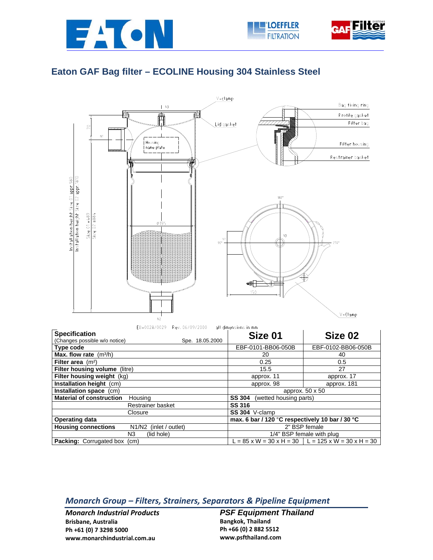



## **Eaton GAF Bag filter – ECOLINE Housing 304 Stainless Steel**



| Restrainer basket                                                             | SS 316                                                            |  |  |
|-------------------------------------------------------------------------------|-------------------------------------------------------------------|--|--|
| Closure                                                                       | <b>SS 304</b> V-clamp                                             |  |  |
| <b>Operating data</b>                                                         | max. 6 bar / 120 $\degree$ C respectively 10 bar / 30 $\degree$ C |  |  |
| <b>Housing connections</b><br>N <sub>1</sub> /N <sub>2</sub> (inlet / outlet) | 2" BSP female                                                     |  |  |
| (lid hole)<br>N3                                                              | 1/4" BSP female with plug                                         |  |  |
| <b>Packing:</b> Corrugated box (cm)                                           | $L = 85$ x W = 30 x H = 30   L = 125 x W = 30 x H = 30            |  |  |

## *Monarch Group – Filters, Strainers, Separators & Pipeline Equipment*

*Monarch Industrial Products* **Brisbane, Australia Ph +61 (0) 7 3298 5000 www.monarchindustrial.com.au**

*PSF Equipment Thailand*  **Bangkok, Thailand Ph +66 (0) 2 882 5512 www.psfthailand.com**